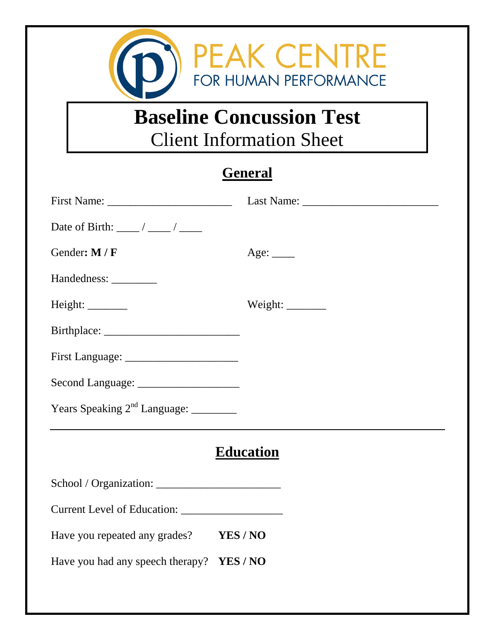

## **Baseline Concussion Test**  Client Information Sheet

## **General**

| First Name:                                      |                 |  |  |
|--------------------------------------------------|-----------------|--|--|
|                                                  |                 |  |  |
| Gender: M / F                                    | Age: $\_\_$     |  |  |
| Handedness: __________                           |                 |  |  |
|                                                  | Weight: _______ |  |  |
|                                                  |                 |  |  |
|                                                  |                 |  |  |
|                                                  |                 |  |  |
| Years Speaking 2 <sup>nd</sup> Language: _______ |                 |  |  |
| <b>Education</b>                                 |                 |  |  |
|                                                  |                 |  |  |
|                                                  |                 |  |  |
| Have you repeated any grades?                    | YES/NO          |  |  |
| Have you had any speech therapy? YES / NO        |                 |  |  |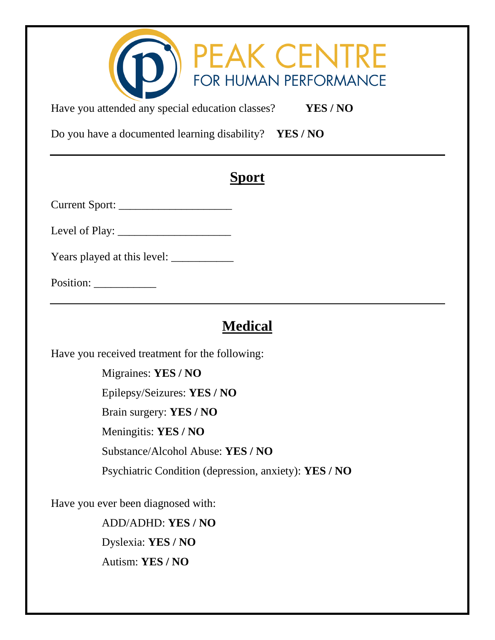| PEAK CENTRE<br>Have you attended any special education classes?<br>YES/NO |  |  |  |
|---------------------------------------------------------------------------|--|--|--|
| Do you have a documented learning disability? YES / NO                    |  |  |  |
| <b>Sport</b>                                                              |  |  |  |
|                                                                           |  |  |  |
|                                                                           |  |  |  |
|                                                                           |  |  |  |
|                                                                           |  |  |  |
| <b>Medical</b>                                                            |  |  |  |
| Have you received treatment for the following:                            |  |  |  |
| Migraines: YES / NO                                                       |  |  |  |
| Epilepsy/Seizures: YES / NO                                               |  |  |  |
| Brain surgery: YES / NO                                                   |  |  |  |
| Meningitis: YES / NO                                                      |  |  |  |

Substance/Alcohol Abuse: **YES / NO**

Psychiatric Condition (depression, anxiety): **YES / NO**

Have you ever been diagnosed with:

ADD/ADHD: **YES / NO** Dyslexia: **YES / NO** Autism: **YES / NO**